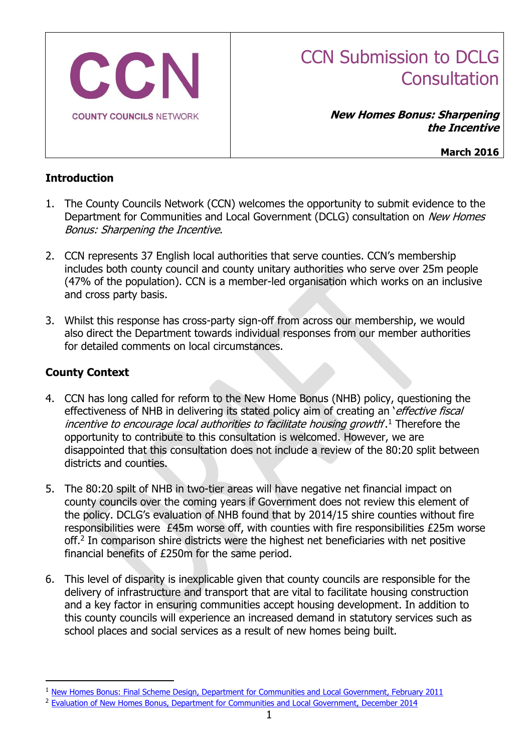

# CCN Submission to DCLG **Consultation**

**New Homes Bonus: Sharpening the Incentive**

**March 2016**

# **Introduction**

- 1. The County Councils Network (CCN) welcomes the opportunity to submit evidence to the Department for Communities and Local Government (DCLG) consultation on New Homes Bonus: Sharpening the Incentive.
- 2. CCN represents 37 English local authorities that serve counties. CCN's membership includes both county council and county unitary authorities who serve over 25m people (47% of the population). CCN is a member-led organisation which works on an inclusive and cross party basis.
- 3. Whilst this response has cross-party sign-off from across our membership, we would also direct the Department towards individual responses from our member authorities for detailed comments on local circumstances.

# **County Context**

-

- 4. CCN has long called for reform to the New Home Bonus (NHB) policy, questioning the effectiveness of NHB in delivering its stated policy aim of creating an 'effective fiscal incentive to encourage local authorities to facilitate housing growth'.<sup>1</sup> Therefore the opportunity to contribute to this consultation is welcomed. However, we are disappointed that this consultation does not include a review of the 80:20 split between districts and counties.
- 5. The 80:20 spilt of NHB in two-tier areas will have negative net financial impact on county councils over the coming years if Government does not review this element of the policy. DCLG's evaluation of NHB found that by 2014/15 shire counties without fire responsibilities were £45m worse off, with counties with fire responsibilities £25m worse off.<sup>2</sup> In comparison shire districts were the highest net beneficiaries with net positive financial benefits of £250m for the same period.
- 6. This level of disparity is inexplicable given that county councils are responsible for the delivery of infrastructure and transport that are vital to facilitate housing construction and a key factor in ensuring communities accept housing development. In addition to this county councils will experience an increased demand in statutory services such as school places and social services as a result of new homes being built.

<sup>&</sup>lt;sup>1</sup> [New Homes Bonus: Final Scheme Design, Department for Communities and Local Government, February 2011](https://www.gov.uk/government/uploads/system/uploads/attachment_data/file/6004/1846530.pdf)

<sup>&</sup>lt;sup>2</sup> [Evaluation of New Homes Bonus, Department for Communities and Local Government, December 2014](https://www.gov.uk/government/uploads/system/uploads/attachment_data/file/387152/NHB_Evaluation_FINAL_report.pdf)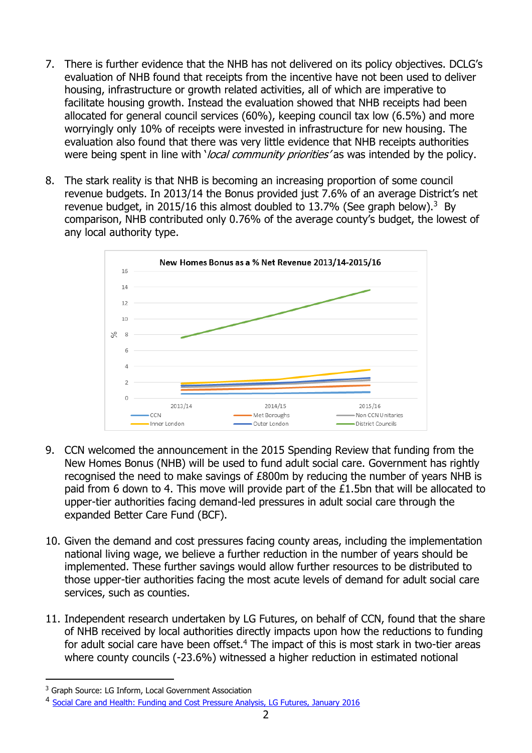- 7. There is further evidence that the NHB has not delivered on its policy objectives. DCLG's evaluation of NHB found that receipts from the incentive have not been used to deliver housing, infrastructure or growth related activities, all of which are imperative to facilitate housing growth. Instead the evaluation showed that NHB receipts had been allocated for general council services (60%), keeping council tax low (6.5%) and more worryingly only 10% of receipts were invested in infrastructure for new housing. The evaluation also found that there was very little evidence that NHB receipts authorities were being spent in line with *'local community priorities'* as was intended by the policy.
- 8. The stark reality is that NHB is becoming an increasing proportion of some council revenue budgets. In 2013/14 the Bonus provided just 7.6% of an average District's net revenue budget, in 2015/16 this almost doubled to 13.7% (See graph below).<sup>3</sup> By comparison, NHB contributed only 0.76% of the average county's budget, the lowest of any local authority type.



- 9. CCN welcomed the announcement in the 2015 Spending Review that funding from the New Homes Bonus (NHB) will be used to fund adult social care. Government has rightly recognised the need to make savings of £800m by reducing the number of years NHB is paid from 6 down to 4. This move will provide part of the £1.5bn that will be allocated to upper-tier authorities facing demand-led pressures in adult social care through the expanded Better Care Fund (BCF).
- 10. Given the demand and cost pressures facing county areas, including the implementation national living wage, we believe a further reduction in the number of years should be implemented. These further savings would allow further resources to be distributed to those upper-tier authorities facing the most acute levels of demand for adult social care services, such as counties.
- 11. Independent research undertaken by LG Futures, on behalf of CCN, found that the share of NHB received by local authorities directly impacts upon how the reductions to funding for adult social care have been offset.<sup>4</sup> The impact of this is most stark in two-tier areas where county councils (-23.6%) witnessed a higher reduction in estimated notional

-

<sup>&</sup>lt;sup>3</sup> Graph Source: LG Inform, Local Government Association

<sup>&</sup>lt;sup>4</sup> [Social Care and Health: Funding and Cost Pressure Analysis, LG Futures, January 2016](http://www.countycouncilsnetwork.org.uk/assets/legacy/getasset?id=fAAzADQANgB8AHwAVAByAHUAZQB8AHwAMAB8AA2)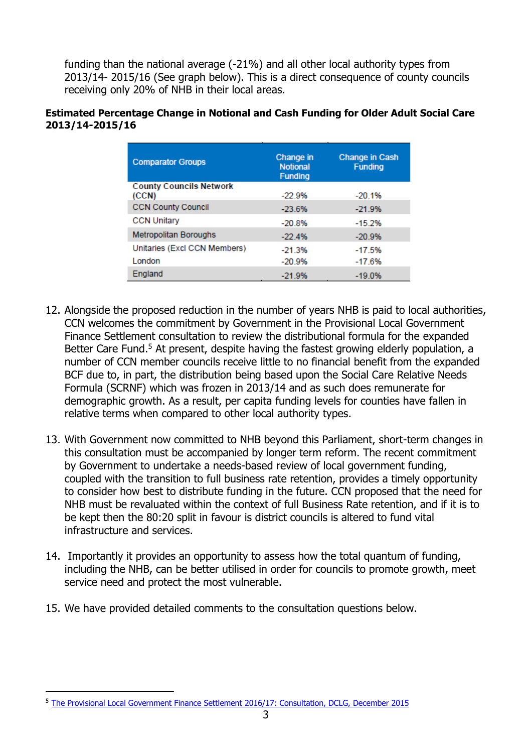funding than the national average (-21%) and all other local authority types from 2013/14- 2015/16 (See graph below). This is a direct consequence of county councils receiving only 20% of NHB in their local areas.

#### **Estimated Percentage Change in Notional and Cash Funding for Older Adult Social Care 2013/14-2015/16**

| <b>Comparator Groups</b>                | Change in<br><b>Notional</b><br><b>Funding</b> | <b>Change in Cash</b><br><b>Funding</b> |
|-----------------------------------------|------------------------------------------------|-----------------------------------------|
| <b>County Councils Network</b><br>(CCN) | $-22.9%$                                       | $-20.1%$                                |
| <b>CCN County Council</b>               | $-23.6%$                                       | $-21.9%$                                |
| <b>CCN Unitary</b>                      | $-20.8%$                                       | $-15.2%$                                |
| <b>Metropolitan Boroughs</b>            | $-22.4%$                                       | $-20.9%$                                |
| Unitaries (Excl CCN Members)            | $-21.3%$                                       | $-17.5%$                                |
| <b>London</b>                           | $-20.9%$                                       | $-17.6%$                                |
| England                                 | $-21.9%$                                       | $-19.0\%$                               |

- 12. Alongside the proposed reduction in the number of years NHB is paid to local authorities, CCN welcomes the commitment by Government in the Provisional Local Government Finance Settlement consultation to review the distributional formula for the expanded Better Care Fund.<sup>5</sup> At present, despite having the fastest growing elderly population, a number of CCN member councils receive little to no financial benefit from the expanded BCF due to, in part, the distribution being based upon the Social Care Relative Needs Formula (SCRNF) which was frozen in 2013/14 and as such does remunerate for demographic growth. As a result, per capita funding levels for counties have fallen in relative terms when compared to other local authority types.
- 13. With Government now committed to NHB beyond this Parliament, short-term changes in this consultation must be accompanied by longer term reform. The recent commitment by Government to undertake a needs-based review of local government funding, coupled with the transition to full business rate retention, provides a timely opportunity to consider how best to distribute funding in the future. CCN proposed that the need for NHB must be revaluated within the context of full Business Rate retention, and if it is to be kept then the 80:20 split in favour is district councils is altered to fund vital infrastructure and services.
- 14. Importantly it provides an opportunity to assess how the total quantum of funding, including the NHB, can be better utilised in order for councils to promote growth, meet service need and protect the most vulnerable.
- 15. We have provided detailed comments to the consultation questions below.

-

<sup>5</sup> [The Provisional Local Government Finance Settlement 2016/17: Consultation, DCLG, December 2015](https://www.gov.uk/government/uploads/system/uploads/attachment_data/file/494385/Provisional_settlement_consultation_document.pdf)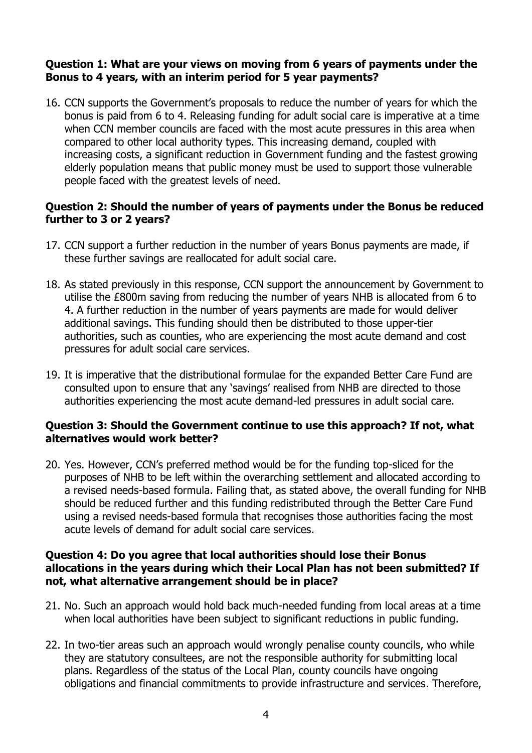# **Question 1: What are your views on moving from 6 years of payments under the Bonus to 4 years, with an interim period for 5 year payments?**

16. CCN supports the Government's proposals to reduce the number of years for which the bonus is paid from 6 to 4. Releasing funding for adult social care is imperative at a time when CCN member councils are faced with the most acute pressures in this area when compared to other local authority types. This increasing demand, coupled with increasing costs, a significant reduction in Government funding and the fastest growing elderly population means that public money must be used to support those vulnerable people faced with the greatest levels of need.

# **Question 2: Should the number of years of payments under the Bonus be reduced further to 3 or 2 years?**

- 17. CCN support a further reduction in the number of years Bonus payments are made, if these further savings are reallocated for adult social care.
- 18. As stated previously in this response, CCN support the announcement by Government to utilise the £800m saving from reducing the number of years NHB is allocated from 6 to 4. A further reduction in the number of years payments are made for would deliver additional savings. This funding should then be distributed to those upper-tier authorities, such as counties, who are experiencing the most acute demand and cost pressures for adult social care services.
- 19. It is imperative that the distributional formulae for the expanded Better Care Fund are consulted upon to ensure that any 'savings' realised from NHB are directed to those authorities experiencing the most acute demand-led pressures in adult social care.

## **Question 3: Should the Government continue to use this approach? If not, what alternatives would work better?**

20. Yes. However, CCN's preferred method would be for the funding top-sliced for the purposes of NHB to be left within the overarching settlement and allocated according to a revised needs-based formula. Failing that, as stated above, the overall funding for NHB should be reduced further and this funding redistributed through the Better Care Fund using a revised needs-based formula that recognises those authorities facing the most acute levels of demand for adult social care services.

## **Question 4: Do you agree that local authorities should lose their Bonus allocations in the years during which their Local Plan has not been submitted? If not, what alternative arrangement should be in place?**

- 21. No. Such an approach would hold back much-needed funding from local areas at a time when local authorities have been subject to significant reductions in public funding.
- 22. In two-tier areas such an approach would wrongly penalise county councils, who while they are statutory consultees, are not the responsible authority for submitting local plans. Regardless of the status of the Local Plan, county councils have ongoing obligations and financial commitments to provide infrastructure and services. Therefore,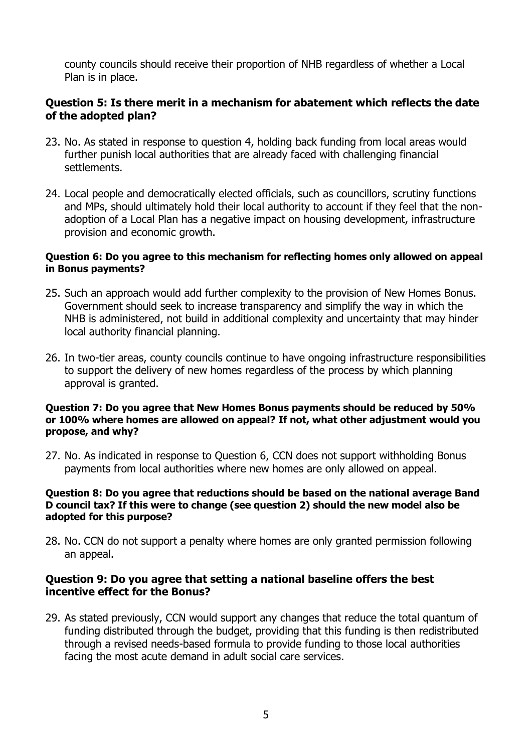county councils should receive their proportion of NHB regardless of whether a Local Plan is in place.

## **Question 5: Is there merit in a mechanism for abatement which reflects the date of the adopted plan?**

- 23. No. As stated in response to question 4, holding back funding from local areas would further punish local authorities that are already faced with challenging financial settlements.
- 24. Local people and democratically elected officials, such as councillors, scrutiny functions and MPs, should ultimately hold their local authority to account if they feel that the nonadoption of a Local Plan has a negative impact on housing development, infrastructure provision and economic growth.

#### **Question 6: Do you agree to this mechanism for reflecting homes only allowed on appeal in Bonus payments?**

- 25. Such an approach would add further complexity to the provision of New Homes Bonus. Government should seek to increase transparency and simplify the way in which the NHB is administered, not build in additional complexity and uncertainty that may hinder local authority financial planning.
- 26. In two-tier areas, county councils continue to have ongoing infrastructure responsibilities to support the delivery of new homes regardless of the process by which planning approval is granted.

#### **Question 7: Do you agree that New Homes Bonus payments should be reduced by 50% or 100% where homes are allowed on appeal? If not, what other adjustment would you propose, and why?**

27. No. As indicated in response to Question 6, CCN does not support withholding Bonus payments from local authorities where new homes are only allowed on appeal.

#### **Question 8: Do you agree that reductions should be based on the national average Band D council tax? If this were to change (see question 2) should the new model also be adopted for this purpose?**

28. No. CCN do not support a penalty where homes are only granted permission following an appeal.

### **Question 9: Do you agree that setting a national baseline offers the best incentive effect for the Bonus?**

29. As stated previously, CCN would support any changes that reduce the total quantum of funding distributed through the budget, providing that this funding is then redistributed through a revised needs-based formula to provide funding to those local authorities facing the most acute demand in adult social care services.